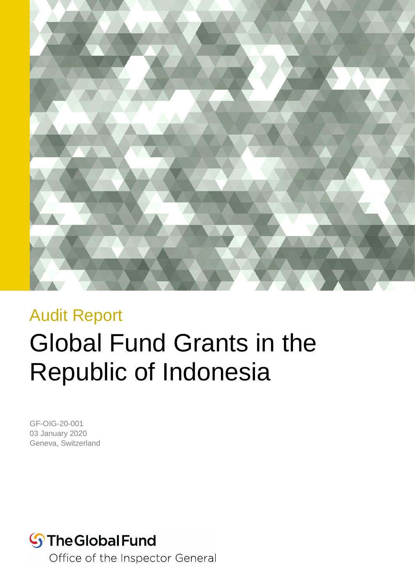

## Audit Report

# Global Fund Grants in the Republic of Indonesia

GF-OIG-20-001 03 January 2020 Geneva, Switzerland

# **S**The Global Fund

Office of the Inspector General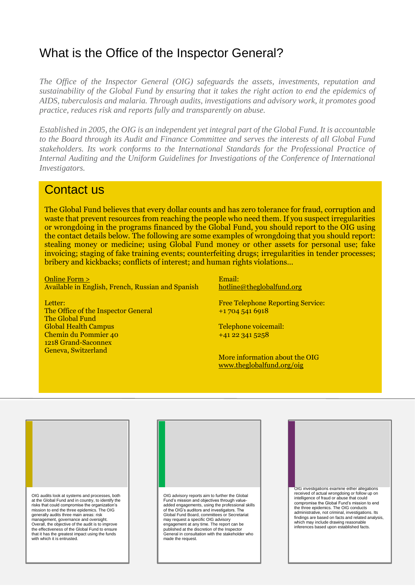### What is the Office of the Inspector General?

*The Office of the Inspector General (OIG) safeguards the assets, investments, reputation and sustainability of the Global Fund by ensuring that it takes the right action to end the epidemics of AIDS, tuberculosis and malaria. Through audits, investigations and advisory work, it promotes good practice, reduces risk and reports fully and transparently on abuse.*

*Established in 2005, the OIG is an independent yet integral part of the Global Fund. It is accountable to the Board through its Audit and Finance Committee and serves the interests of all Global Fund stakeholders. Its work conforms to the International Standards for the Professional Practice of Internal Auditing and the Uniform Guidelines for Investigations of the Conference of International Investigators.*

#### Contact us

The Global Fund believes that every dollar counts and has zero tolerance for fraud, corruption and waste that prevent resources from reaching the people who need them. If you suspect irregularities or wrongdoing in the programs financed by the Global Fund, you should report to the OIG using the contact details below. The following are some examples of wrongdoing that you should report: stealing money or medicine; using Global Fund money or other assets for personal use; fake invoicing; staging of fake training events; counterfeiting drugs; irregularities in tender processes; bribery and kickbacks; conflicts of interest; and human rights violations…

[Online Form >](https://theglobalfund.alertline.com/gcs/welcome?locale=en) Available in English, French, Russian and Spanish

Letter: The Office of the Inspector General The Global Fund Global Health Campus Chemin du Pommier 40 1218 Grand-Saconnex

Geneva, Switzerland

Email: [hotline@theglobalfund.org](mailto:hotline@theglobalfund.org)

Free Telephone Reporting Service: +1 704 541 6918

Telephone voicemail: +41 22 341 5258

More information about the OIG [www.theglobalfund.org/oig](file://///prodmeteorfs.gf.theglobalfund.org/UserDesktops/tfitzsimons/Desktop/www.theglobalfund.org/oig)



Audit Report

Advisory Report OIG advisory reports aim to further the Global Fund's mission and objectives through valueadded engagements, using the professional skills of the OIG's auditors and investigators. The Global Fund Board, committees or Secretariat may request a specific OIG advisory engagement at any time. The report can be published at the discretion of the Inspector General in consultation with the stakeholder who made the request.

Geneva, Switzerland Page 2

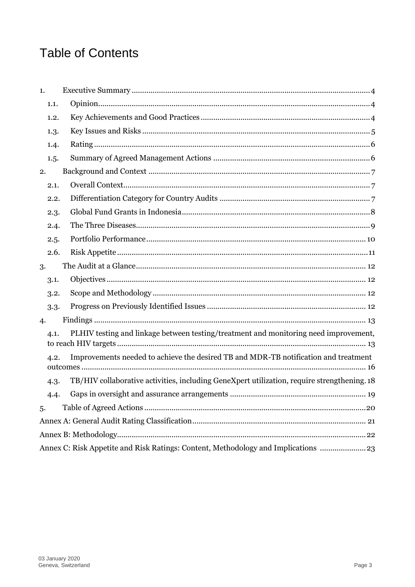### **Table of Contents**

| 1. |      |                                                                                             |
|----|------|---------------------------------------------------------------------------------------------|
|    | 1.1. |                                                                                             |
|    | 1.2. |                                                                                             |
|    | 1.3. |                                                                                             |
|    | 1.4. |                                                                                             |
|    | 1.5. |                                                                                             |
| 2. |      |                                                                                             |
|    | 2.1. |                                                                                             |
|    | 2.2. |                                                                                             |
|    | 2.3. |                                                                                             |
|    | 2.4. |                                                                                             |
|    | 2.5. |                                                                                             |
|    | 2.6. |                                                                                             |
| 3. |      |                                                                                             |
|    | 3.1. |                                                                                             |
|    | 3.2. |                                                                                             |
|    | 3.3. |                                                                                             |
| 4. |      |                                                                                             |
|    | 4.1. | PLHIV testing and linkage between testing/treatment and monitoring need improvement,        |
|    | 4.2. | Improvements needed to achieve the desired TB and MDR-TB notification and treatment         |
|    | 4.3. | TB/HIV collaborative activities, including GeneXpert utilization, require strengthening. 18 |
|    | 4.4. |                                                                                             |
| 5. |      |                                                                                             |
|    |      |                                                                                             |
|    |      |                                                                                             |
|    |      | Annex C: Risk Appetite and Risk Ratings: Content, Methodology and Implications  23          |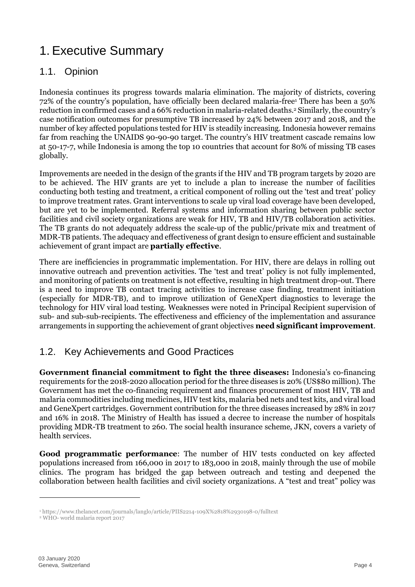### <span id="page-3-0"></span>1. Executive Summary

#### <span id="page-3-1"></span>1.1. Opinion

Indonesia continues its progress towards malaria elimination. The majority of districts, covering 72% of the country's population, have officially been declared malaria-free<sup>1</sup> There has been a 50% reduction in confirmed cases and a 66% reduction in malaria-related deaths. <sup>2</sup> Similarly, the country's case notification outcomes for presumptive TB increased by 24% between 2017 and 2018, and the number of key affected populations tested for HIV is steadily increasing. Indonesia however remains far from reaching the UNAIDS 90-90-90 target. The country's HIV treatment cascade remains low at 50-17-7, while Indonesia is among the top 10 countries that account for 80% of missing TB cases globally.

Improvements are needed in the design of the grants if the HIV and TB program targets by 2020 are to be achieved. The HIV grants are yet to include a plan to increase the number of facilities conducting both testing and treatment, a critical component of rolling out the 'test and treat' policy to improve treatment rates. Grant interventions to scale up viral load coverage have been developed, but are yet to be implemented. Referral systems and information sharing between public sector facilities and civil society organizations are weak for HIV, TB and HIV/TB collaboration activities. The TB grants do not adequately address the scale-up of the public/private mix and treatment of MDR-TB patients. The adequacy and effectiveness of grant design to ensure efficient and sustainable achievement of grant impact are **partially effective**.

There are inefficiencies in programmatic implementation. For HIV, there are delays in rolling out innovative outreach and prevention activities. The 'test and treat' policy is not fully implemented, and monitoring of patients on treatment is not effective, resulting in high treatment drop-out. There is a need to improve TB contact tracing activities to increase case finding, treatment initiation (especially for MDR-TB), and to improve utilization of GeneXpert diagnostics to leverage the technology for HIV viral load testing. Weaknesses were noted in Principal Recipient supervision of sub- and sub-sub-recipients. The effectiveness and efficiency of the implementation and assurance arrangements in supporting the achievement of grant objectives **need significant improvement**.

#### <span id="page-3-2"></span>1.2. Key Achievements and Good Practices

**Government financial commitment to fight the three diseases:** Indonesia's co-financing requirements for the 2018-2020 allocation period for the three diseases is 20% (US\$80 million). The Government has met the co-financing requirement and finances procurement of most HIV, TB and malaria commodities including medicines, HIV test kits, malaria bed nets and test kits, and viral load and GeneXpert cartridges. Government contribution for the three diseases increased by 28% in 2017 and 16% in 2018. The Ministry of Health has issued a decree to increase the number of hospitals providing MDR-TB treatment to 260. The social health insurance scheme, JKN, covers a variety of health services.

**Good programmatic performance**: The number of HIV tests conducted on key affected populations increased from 166,000 in 2017 to 183,000 in 2018, mainly through the use of mobile clinics. The program has bridged the gap between outreach and testing and deepened the collaboration between health facilities and civil society organizations. A "test and treat" policy was

-

<sup>1</sup> https://www.thelancet.com/journals/langlo/article/PIIS2214-109X%2818%2930198-0/fulltext

<sup>2</sup> WHO- world malaria report 2017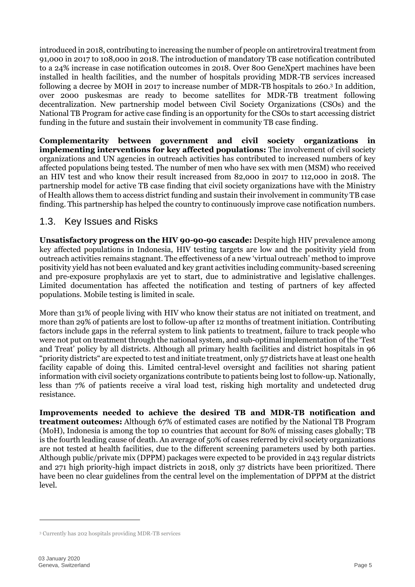introduced in 2018, contributing to increasing the number of people on antiretroviral treatment from 91,000 in 2017 to 108,000 in 2018. The introduction of mandatory TB case notification contributed to a 24% increase in case notification outcomes in 2018. Over 800 GeneXpert machines have been installed in health facilities, and the number of hospitals providing MDR-TB services increased following a decree by MOH in 2017 to increase number of MDR-TB hospitals to 260. <sup>3</sup> In addition, over 2000 puskesmas are ready to become satellites for MDR-TB treatment following decentralization. New partnership model between Civil Society Organizations (CSOs) and the National TB Program for active case finding is an opportunity for the CSOs to start accessing district funding in the future and sustain their involvement in community TB case finding.

**Complementarity between government and civil society organizations in implementing interventions for key affected populations:** The involvement of civil society organizations and UN agencies in outreach activities has contributed to increased numbers of key affected populations being tested. The number of men who have sex with men (MSM) who received an HIV test and who know their result increased from 82,000 in 2017 to 112,000 in 2018. The partnership model for active TB case finding that civil society organizations have with the Ministry of Health allows them to access district funding and sustain their involvement in community TB case finding. This partnership has helped the country to continuously improve case notification numbers.

#### <span id="page-4-0"></span>1.3. Key Issues and Risks

**Unsatisfactory progress on the HIV 90-90-90 cascade:** Despite high HIV prevalence among key affected populations in Indonesia, HIV testing targets are low and the positivity yield from outreach activities remains stagnant. The effectiveness of a new 'virtual outreach' method to improve positivity yield has not been evaluated and key grant activities including community-based screening and pre-exposure prophylaxis are yet to start, due to administrative and legislative challenges. Limited documentation has affected the notification and testing of partners of key affected populations. Mobile testing is limited in scale.

More than 31% of people living with HIV who know their status are not initiated on treatment, and more than 29% of patients are lost to follow-up after 12 months of treatment initiation. Contributing factors include gaps in the referral system to link patients to treatment, failure to track people who were not put on treatment through the national system, and sub-optimal implementation of the 'Test and Treat' policy by all districts. Although all primary health facilities and district hospitals in 96 "priority districts" are expected to test and initiate treatment, only 57 districts have at least one health facility capable of doing this. Limited central-level oversight and facilities not sharing patient information with civil society organizations contribute to patients being lost to follow-up. Nationally, less than 7% of patients receive a viral load test, risking high mortality and undetected drug resistance.

**Improvements needed to achieve the desired TB and MDR-TB notification and treatment outcomes:** Although 67% of estimated cases are notified by the National TB Program (MoH), Indonesia is among the top 10 countries that account for 80% of missing cases globally; TB is the fourth leading cause of death. An average of 50% of cases referred by civil society organizations are not tested at health facilities, due to the different screening parameters used by both parties. Although public/private mix (DPPM) packages were expected to be provided in 243 regular districts and 271 high priority-high impact districts in 2018, only 37 districts have been prioritized. There have been no clear guidelines from the central level on the implementation of DPPM at the district level.

-

<sup>3</sup> Currently has 202 hospitals providing MDR-TB services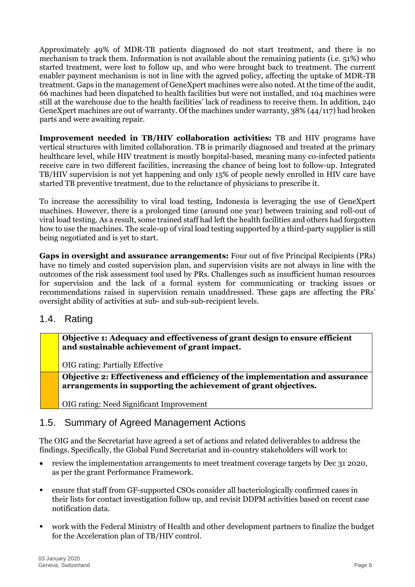Approximately 49% of MDR-TB patients diagnosed do not start treatment, and there is no mechanism to track them. Information is not available about the remaining patients (i.e. 51%) who started treatment, were lost to follow up, and who were brought back to treatment. The current enabler payment mechanism is not in line with the agreed policy, affecting the uptake of MDR-TB treatment. Gaps in the management of GeneXpert machines were also noted. At the time of the audit, 66 machines had been dispatched to health facilities but were not installed, and 104 machines were still at the warehouse due to the health facilities' lack of readiness to receive them. In addition, 240 GeneXpert machines are out of warranty. Of the machines under warranty, 38% (44/117) had broken parts and were awaiting repair.

**Improvement needed in TB/HIV collaboration activities:** TB and HIV programs have vertical structures with limited collaboration. TB is primarily diagnosed and treated at the primary healthcare level, while HIV treatment is mostly hospital-based, meaning many co-infected patients receive care in two different facilities, increasing the chance of being lost to follow-up. Integrated TB/HIV supervision is not yet happening and only 15% of people newly enrolled in HIV care have started TB preventive treatment, due to the reluctance of physicians to prescribe it.

To increase the accessibility to viral load testing, Indonesia is leveraging the use of GeneXpert machines. However, there is a prolonged time (around one year) between training and roll-out of viral load testing. As a result, some trained staff had left the health facilities and others had forgotten how to use the machines. The scale-up of viral load testing supported by a third-party supplier is still being negotiated and is yet to start.

**Gaps in oversight and assurance arrangements:** Four out of five Principal Recipients (PRs) have no timely and costed supervision plan, and supervision visits are not always in line with the outcomes of the risk assessment tool used by PRs. Challenges such as insufficient human resources for supervision and the lack of a formal system for communicating or tracking issues or recommendations raised in supervision remain unaddressed. These gaps are affecting the PRs' oversight ability of activities at sub- and sub-sub-recipient levels.

#### <span id="page-5-0"></span>1.4. Rating

**Objective 1: Adequacy and effectiveness of grant design to ensure efficient and sustainable achievement of grant impact.**

OIG rating: Partially Effective

**Objective 2: Effectiveness and efficiency of the implementation and assurance arrangements in supporting the achievement of grant objectives.**

OIG rating: Need Significant Improvement

#### <span id="page-5-1"></span>1.5. Summary of Agreed Management Actions

The OIG and the Secretariat have agreed a set of actions and related deliverables to address the findings. Specifically, the Global Fund Secretariat and in-country stakeholders will work to:

- review the implementation arrangements to meet treatment coverage targets by Dec 31 2020, as per the grant Performance Framework.
- ensure that staff from GF-supported CSOs consider all bacteriologically confirmed cases in their lists for contact investigation follow up, and revisit DDPM activities based on recent case notification data.
- work with the Federal Ministry of Health and other development partners to finalize the budget for the Acceleration plan of TB/HIV control.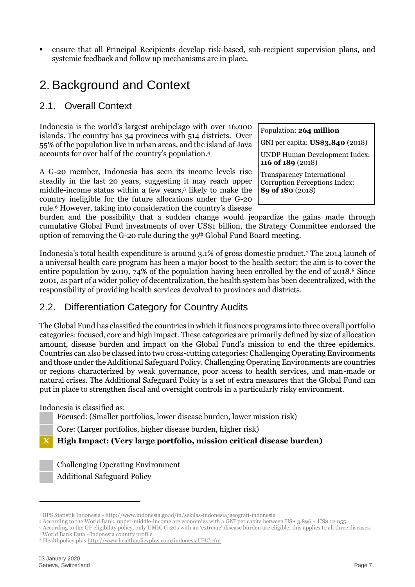▪ ensure that all Principal Recipients develop risk-based, sub-recipient supervision plans, and systemic feedback and follow up mechanisms are in place.

### <span id="page-6-0"></span>2. Background and Context

#### <span id="page-6-1"></span>2.1. Overall Context

Indonesia is the world's largest archipelago with over 16,000 islands. The country has 34 provinces with 514 districts. Over 55% of the population live in urban areas, and the island of Java accounts for over half of the country's population.<sup>4</sup>

A G-20 member, Indonesia has seen its income levels rise steadily in the last 20 years, suggesting it may reach upper middle-income status within a few years, 5 likely to make the country ineligible for the future allocations under the G-20 rule.<sup>6</sup> However, taking into consideration the country's disease Population: **264 million**

GNI per capita: **US\$3,840** (2018)

UNDP Human Development Index: **116 of 189** (2018)

Transparency International Corruption Perceptions Index: **89 of 180** (2018)

burden and the possibility that a sudden change would jeopardize the gains made through cumulative Global Fund investments of over US\$1 billion, the Strategy Committee endorsed the option of removing the G-20 rule during the 39th Global Fund Board meeting.

Indonesia's total health expenditure is around 3.1% of gross domestic product. <sup>7</sup> The 2014 launch of a universal health care program has been a major boost to the health sector; the aim is to cover the entire population by 2019, 74% of the population having been enrolled by the end of 2018. <sup>8</sup> Since 2001, as part of a wider policy of decentralization, the health system has been decentralized, with the responsibility of providing health services devolved to provinces and districts.

#### <span id="page-6-2"></span>2.2. Differentiation Category for Country Audits

The Global Fund has classified the countries in which it finances programs into three overall portfolio categories: focused, core and high impact. These categories are primarily defined by size of allocation amount, disease burden and impact on the Global Fund's mission to end the three epidemics. Countries can also be classed into two cross-cutting categories: Challenging Operating Environments and those under the Additional Safeguard Policy. Challenging Operating Environments are countries or regions characterized by weak governance, poor access to health services, and man-made or natural crises. The Additional Safeguard Policy is a set of extra measures that the Global Fund can put in place to strengthen fiscal and oversight controls in a particularly risky environment.

Indonesia is classified as:

Focused: (Smaller portfolios, lower disease burden, lower mission risk)

Core: (Larger portfolios, higher disease burden, higher risk)

**X High Impact: (Very large portfolio, mission critical disease burden)**

Challenging Operating Environment Additional Safeguard Policy

<sup>4</sup> [BPS Statistik Indonesia](https://www.bps.go.id/publication/2018/12/24/39b2ed48b00f0e785046d37d/statistik-indonesia-dalam-infografis-2018.html) - http://www.indonesia.go.id/in/sekilas-indonesia/geografi-indonesia

<sup>5</sup> According to the World Bank, upper-middle-income are economies with a GNI per capita between US\$ 3,896 – US\$ 12,055.

<sup>6</sup> According to the GF eligibility policy, only UMIC G-20s with an 'extreme' disease burden are eligible; this applies to all three diseases.

<sup>7</sup> [World Bank Data -](https://data.worldbank.org/indicator/SH.XPD.CHEX.GD.ZS) Indonesia country profile

<sup>8</sup> Healthpolicy plu[s http://www.healthpolicyplus.com/indonesiaUHC.cfm](http://www.healthpolicyplus.com/indonesiaUHC.cfm)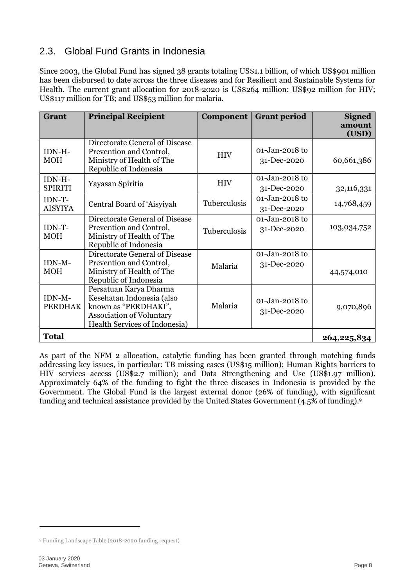#### <span id="page-7-0"></span>2.3. Global Fund Grants in Indonesia

Since 2003, the Global Fund has signed 38 grants totaling US\$1.1 billion, of which US\$901 million has been disbursed to date across the three diseases and for Resilient and Sustainable Systems for Health. The current grant allocation for 2018-2020 is US\$264 million: US\$92 million for HIV; US\$117 million for TB; and US\$53 million for malaria.

| Grant                    | <b>Principal Recipient</b>                                                                                                               | Component    | <b>Grant period</b>               | <b>Signed</b>   |
|--------------------------|------------------------------------------------------------------------------------------------------------------------------------------|--------------|-----------------------------------|-----------------|
|                          |                                                                                                                                          |              |                                   | amount<br>(USD) |
| IDN-H-<br><b>MOH</b>     | Directorate General of Disease<br>Prevention and Control,<br>Ministry of Health of The<br>Republic of Indonesia                          | <b>HIV</b>   | $01 - Jan-2018$ to<br>31-Dec-2020 | 60,661,386      |
| IDN-H-<br><b>SPIRITI</b> | Yayasan Spiritia                                                                                                                         | <b>HIV</b>   | $01 - Jan-2018$ to<br>31-Dec-2020 | 32,116,331      |
| IDN-T-<br><b>AISYIYA</b> | Central Board of 'Aisyiyah                                                                                                               | Tuberculosis | 01-Jan-2018 to<br>31-Dec-2020     | 14,768,459      |
| IDN-T-<br><b>MOH</b>     | Directorate General of Disease<br>Prevention and Control,<br>Ministry of Health of The<br>Republic of Indonesia                          | Tuberculosis | $01 - Jan-2018$ to<br>31-Dec-2020 | 103,034,752     |
| IDN-M-<br><b>MOH</b>     | Directorate General of Disease<br>Prevention and Control,<br>Ministry of Health of The<br>Republic of Indonesia                          | Malaria      | 01-Jan-2018 to<br>31-Dec-2020     | 44,574,010      |
| IDN-M-<br><b>PERDHAK</b> | Persatuan Karya Dharma<br>Kesehatan Indonesia (also<br>known as "PERDHAKI",<br>Association of Voluntary<br>Health Services of Indonesia) | Malaria      | 01-Jan-2018 to<br>31-Dec-2020     | 9,070,896       |
| <b>Total</b>             |                                                                                                                                          |              |                                   | 264,225,834     |

As part of the NFM 2 allocation, catalytic funding has been granted through matching funds addressing key issues, in particular: TB missing cases (US\$15 million); Human Rights barriers to HIV services access (US\$2.7 million); and Data Strengthening and Use (US\$1.97 million). Approximately 64% of the funding to fight the three diseases in Indonesia is provided by the Government. The Global Fund is the largest external donor (26% of funding), with significant funding and technical assistance provided by the United States Government (4.5% of funding).<sup>9</sup>

<span id="page-7-1"></span><sup>9</sup> Funding Landscape Table (2018-2020 funding request)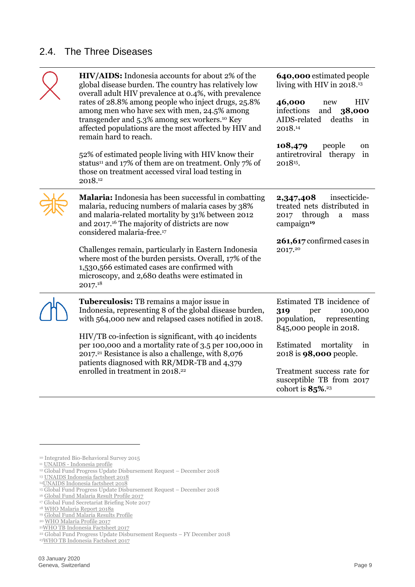#### 2.4. The Three Diseases

| HIV/AIDS: Indonesia accounts for about 2% of the<br>global disease burden. The country has relatively low<br>overall adult HIV prevalence at 0.4%, with prevalence<br>rates of 28.8% among people who inject drugs, 25.8%<br>among men who have sex with men, 24.5% among<br>transgender and 5.3% among sex workers. <sup>10</sup> Key<br>affected populations are the most affected by HIV and<br>remain hard to reach. | 640,000 estimated people<br>living with HIV in 2018. <sup>13</sup><br>46,000<br><b>HIV</b><br>new<br>infections<br>and<br>38,000<br>AIDS-related<br>deaths<br>in<br>2018.14 |
|--------------------------------------------------------------------------------------------------------------------------------------------------------------------------------------------------------------------------------------------------------------------------------------------------------------------------------------------------------------------------------------------------------------------------|-----------------------------------------------------------------------------------------------------------------------------------------------------------------------------|
| 52% of estimated people living with HIV know their<br>status <sup>11</sup> and 17% of them are on treatment. Only 7% of<br>those on treatment accessed viral load testing in<br>2018.12                                                                                                                                                                                                                                  | 108,479<br>people<br>on<br>antiretroviral therapy<br>in<br>2018 <sup>15</sup> .                                                                                             |
| <b>Malaria:</b> Indonesia has been successful in combatting<br>malaria, reducing numbers of malaria cases by 38%<br>and malaria-related mortality by 31% between 2012<br>and 2017. <sup>16</sup> The majority of districts are now<br>considered malaria-free. <sup>17</sup>                                                                                                                                             | insecticide-<br>2,347,408<br>treated nets distributed in<br>through<br>2017<br>a<br>mass<br>campaign <sup>19</sup><br>261,617 confirmed cases in                            |
| Challenges remain, particularly in Eastern Indonesia<br>where most of the burden persists. Overall, 17% of the<br>1,530,566 estimated cases are confirmed with<br>microscopy, and 2,680 deaths were estimated in<br>2017.18                                                                                                                                                                                              | 2017.20                                                                                                                                                                     |
| Tuberculosis: TB remains a major issue in<br>Indonesia, representing 8 of the global disease burden,<br>with 564,000 new and relapsed cases notified in 2018.                                                                                                                                                                                                                                                            | Estimated TB incidence of<br>100,000<br>319<br>per<br>population,<br>representing<br>845,000 people in 2018.                                                                |
| HIV/TB co-infection is significant, with 40 incidents<br>per 100,000 and a mortality rate of 3.5 per 100,000 in<br>2017. <sup>21</sup> Resistance is also a challenge, with 8,076<br>patients diagnosed with RR/MDR-TB and 4,379<br>enrolled in treatment in 2018. <sup>22</sup>                                                                                                                                         | Estimated<br>mortality<br>1n<br>2018 is <b>98,000</b> people.<br>Treatment success rate for<br>susceptible TB from 2017<br>cohort is $85\%$ . <sup>23</sup>                 |

<sup>10</sup> Integrated Bio-Behavioral Survey 2015

<sup>11</sup> UNAIDS - [Indonesia profile](https://www.unaids.org/en/regionscountries/countries/indonesia)

<sup>12</sup> Global Fund Progress Update Disbursement Request – December 2018

<sup>13</sup> [UNAIDS Indonesia factsheet 2018](https://www.unaids.org/en/regionscountries/countries/indonesia)

<sup>14</sup>[UNAIDS Indonesia factsheet 2018](https://www.unaids.org/en/regionscountries/countries/indonesia)

<sup>15</sup> Global Fund Progress Update Disbursement Request – December 2018

<sup>16</sup> [Global Fund Malaria Result Profile 2017](http://docs.theglobalfund.org/010/idn-m_result_profile_en.pdf)

<sup>17</sup> Global Fund Secretariat Briefing Note 2017

<sup>18</sup> [WHO Malaria Report 2018a](https://apps.who.int/iris/bitstream/handle/10665/275867/9789241565653-eng.pdf?ua=1)

<sup>19</sup> [Global Fund Malaria Results Profile](https://www.theglobalfund.org/media/7973/idn-m_result_profile_en.pdf)

<sup>&</sup>lt;sup>20</sup> [WHO Malaria Profile 2017](https://www.who.int/malaria/publications/country-profiles/profile_idn_en.pdf?ua=1)

<sup>21</sup>[WHO TB Indonesia Factsheet 2017](https://extranet.who.int/sree/Reports?op=Replet&name=%2FWHO_HQ_Reports%2FG2%2FPROD%2FEXT%2FTBCountryProfile&ISO2=ID&LAN=EN&outtype=html)

<sup>22</sup> Global Fund Progress Update Disbursement Requests – FY December 2018

<sup>23</sup>[WHO TB Indonesia Factsheet 2017](https://extranet.who.int/sree/Reports?op=Replet&name=%2FWHO_HQ_Reports%2FG2%2FPROD%2FEXT%2FTBCountryProfile&ISO2=ID&LAN=EN&outtype=html)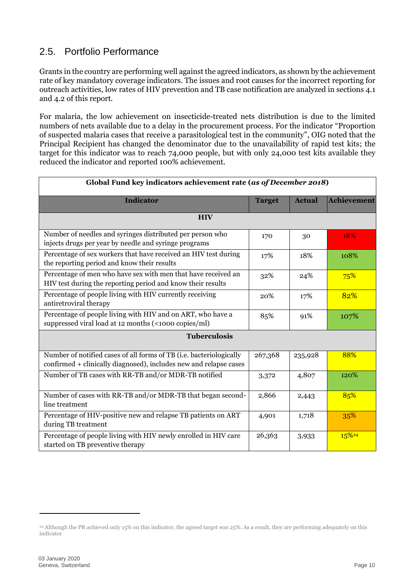#### <span id="page-9-0"></span>2.5. Portfolio Performance

Grants in the country are performing well against the agreed indicators, as shown by the achievement rate of key mandatory coverage indicators. The issues and root causes for the incorrect reporting for outreach activities, low rates of HIV prevention and TB case notification are analyzed in sections 4.1 and 4.2 of this report.

For malaria, the low achievement on insecticide-treated nets distribution is due to the limited numbers of nets available due to a delay in the procurement process. For the indicator "Proportion of suspected malaria cases that receive a parasitological test in the community", OIG noted that the Principal Recipient has changed the denominator due to the unavailability of rapid test kits; the target for this indicator was to reach 74,000 people, but with only 24,000 test kits available they reduced the indicator and reported 100% achievement.

| Global Fund key indicators achievement rate (as of December 2018)                                                                        |               |               |                    |
|------------------------------------------------------------------------------------------------------------------------------------------|---------------|---------------|--------------------|
| <b>Indicator</b>                                                                                                                         | <b>Target</b> | <b>Actual</b> | <b>Achievement</b> |
| <b>HIV</b>                                                                                                                               |               |               |                    |
| Number of needles and syringes distributed per person who<br>injects drugs per year by needle and syringe programs                       | 170           | 30            | 18%                |
| Percentage of sex workers that have received an HIV test during<br>the reporting period and know their results                           | 17%           | 18%           | 108%               |
| Percentage of men who have sex with men that have received an<br>HIV test during the reporting period and know their results             | 32%           | 24%           | 75%                |
| Percentage of people living with HIV currently receiving<br>antiretroviral therapy                                                       | 20%           | 17%           | 82%                |
| Percentage of people living with HIV and on ART, who have a<br>suppressed viral load at 12 months (<1000 copies/ml)                      | 85%           | 91%           | 107%               |
| <b>Tuberculosis</b>                                                                                                                      |               |               |                    |
| Number of notified cases of all forms of TB (i.e. bacteriologically<br>confirmed + clinically diagnosed), includes new and relapse cases | 267,368       | 235,928       | 88%                |
| Number of TB cases with RR-TB and/or MDR-TB notified                                                                                     | 3,372         | 4,807         | 120%               |
| Number of cases with RR-TB and/or MDR-TB that began second-<br>line treatment                                                            | 2,866         | 2,443         | 85%                |
| Percentage of HIV-positive new and relapse TB patients on ART<br>during TB treatment                                                     | 4,901         | 1,718         | 35%                |
| Percentage of people living with HIV newly enrolled in HIV care<br>started on TB preventive therapy                                      | 26,363        | 3,933         | 15%24              |

<sup>24</sup> Although the PR achieved only 15% on this indicator, the agreed target was 25%. As a result, they are performing adequately on this indicator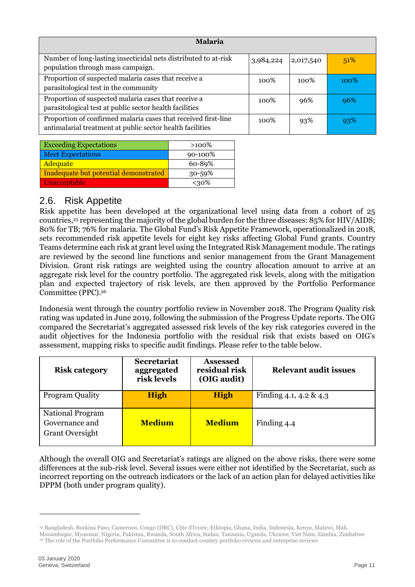| <b>Malaria</b>                                                                                                              |           |           |         |
|-----------------------------------------------------------------------------------------------------------------------------|-----------|-----------|---------|
| Number of long-lasting insecticidal nets distributed to at-risk<br>population through mass campaign.                        | 3,984,224 | 2,017,540 | 51%     |
| Proportion of suspected malaria cases that receive a<br>parasitological test in the community                               | 100%      | 100%      | $100\%$ |
| Proportion of suspected malaria cases that receive a<br>parasitological test at public sector health facilities             | 100\%     | 96%       | 96%     |
| Proportion of confirmed malaria cases that received first-line<br>antimalarial treatment at public sector health facilities | $100\%$   | 93%       | 93%     |

| <b>Exceeding Expectations</b>         | $>100\%$ |
|---------------------------------------|----------|
| <b>Meet Expectations</b>              | 90-100%  |
| <b>Adequate</b>                       | 60-89%   |
| Inadequate but potential demonstrated | 30-59%   |
| Unacceptable                          | $< 30\%$ |

#### <span id="page-10-0"></span>2.6. Risk Appetite

Risk appetite has been developed at the organizational level using data from a cohort of 25 countries,<sup>25</sup> representing the majority of the global burden for the three diseases: 85% for HIV/AIDS; 80% for TB; 76% for malaria. The Global Fund's Risk Appetite Framework, operationalized in 2018, sets recommended risk appetite levels for eight key risks affecting Global Fund grants. Country Teams determine each risk at grant level using the Integrated Risk Management module. The ratings are reviewed by the second line functions and senior management from the Grant Management Division. Grant risk ratings are weighted using the country allocation amount to arrive at an aggregate risk level for the country portfolio. The aggregated risk levels, along with the mitigation plan and expected trajectory of risk levels, are then approved by the Portfolio Performance Committee (PPC).<sup>26</sup>

Indonesia went through the country portfolio review in November 2018. The Program Quality risk rating was updated in June 2019, following the submission of the Progress Update reports. The OIG compared the Secretariat's aggregated assessed risk levels of the key risk categories covered in the audit objectives for the Indonesia portfolio with the residual risk that exists based on OIG's assessment, mapping risks to specific audit findings. Please refer to the table below.

| <b>Risk category</b>                                                | <b>Secretariat</b><br>aggregated<br>risk levels | <b>Assessed</b><br>residual risk<br>(OIG audit) | <b>Relevant audit issues</b> |
|---------------------------------------------------------------------|-------------------------------------------------|-------------------------------------------------|------------------------------|
| <b>Program Quality</b>                                              | <b>High</b>                                     | <b>High</b>                                     | Finding 4.1, 4.2 & 4.3       |
| <b>National Program</b><br>Governance and<br><b>Grant Oversight</b> | <b>Medium</b>                                   | <b>Medium</b>                                   | Finding 4.4                  |

Although the overall OIG and Secretariat's ratings are aligned on the above risks, there were some differences at the sub-risk level. Several issues were either not identified by the Secretariat, such as incorrect reporting on the outreach indicators or the lack of an action plan for delayed activities like DPPM (both under program quality).

<sup>25</sup> Bangladesh, Burkina Faso, Cameroon, Congo (DRC), Côte d'Ivoire, Ethiopia, Ghana, India, Indonesia, Kenya, Malawi, Mali,

Mozambique, Myanmar, Nigeria, Pakistan, Rwanda, South Africa, Sudan, Tanzania, Uganda, Ukraine, Viet Nam, Zambia, Zimbabwe

<sup>26</sup> The role of the Portfolio Performance Committee is to conduct country portfolio reviews and enterprise reviews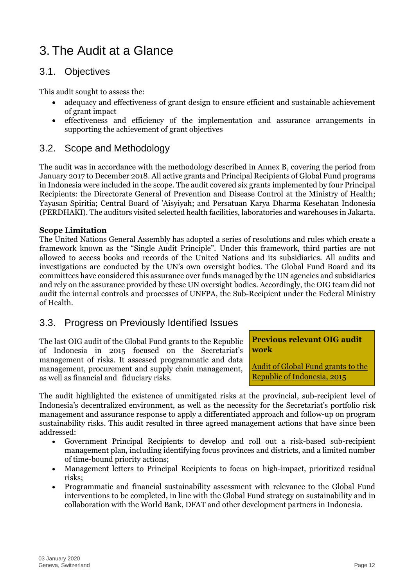### <span id="page-11-0"></span>3. The Audit at a Glance

#### <span id="page-11-1"></span>3.1. Objectives

This audit sought to assess the:

- adequacy and effectiveness of grant design to ensure efficient and sustainable achievement of grant impact
- effectiveness and efficiency of the implementation and assurance arrangements in supporting the achievement of grant objectives

#### <span id="page-11-2"></span>3.2. Scope and Methodology

The audit was in accordance with the methodology described in Annex B, covering the period from January 2017 to December 2018. All active grants and Principal Recipients of Global Fund programs in Indonesia were included in the scope. The audit covered six grants implemented by four Principal Recipients: the Directorate General of Prevention and Disease Control at the Ministry of Health; Yayasan Spiritia; Central Board of 'Aisyiyah; and Persatuan Karya Dharma Kesehatan Indonesia (PERDHAKI). The auditors visited selected health facilities, laboratories and warehouses in Jakarta.

#### **Scope Limitation**

The United Nations General Assembly has adopted a series of resolutions and rules which create a framework known as the "Single Audit Principle". Under this framework, third parties are not allowed to access books and records of the United Nations and its subsidiaries. All audits and investigations are conducted by the UN's own oversight bodies. The Global Fund Board and its committees have considered this assurance over funds managed by the UN agencies and subsidiaries and rely on the assurance provided by these UN oversight bodies. Accordingly, the OIG team did not audit the internal controls and processes of UNFPA, the Sub-Recipient under the Federal Ministry of Health.

#### <span id="page-11-3"></span>3.3. Progress on Previously Identified Issues

The last OIG audit of the Global Fund grants to the Republic of Indonesia in 2015 focused on the Secretariat's management of risks. It assessed programmatic and data management, procurement and supply chain management, as well as financial and fiduciary risks.

#### **Previous relevant OIG audit work**

[Audit of Global Fund grants to the](https://www.theglobalfund.org/en/oig/updates/2015-12-01-audit-of-global-fund-grants-to-indonesia/)  [Republic of Indonesia, 2015](https://www.theglobalfund.org/en/oig/updates/2015-12-01-audit-of-global-fund-grants-to-indonesia/)

The audit highlighted the existence of unmitigated risks at the provincial, sub-recipient level of Indonesia's decentralized environment, as well as the necessity for the Secretariat's portfolio risk management and assurance response to apply a differentiated approach and follow-up on program sustainability risks. This audit resulted in three agreed management actions that have since been addressed:

- Government Principal Recipients to develop and roll out a risk-based sub-recipient management plan, including identifying focus provinces and districts, and a limited number of time-bound priority actions;
- Management letters to Principal Recipients to focus on high-impact, prioritized residual risks;
- Programmatic and financial sustainability assessment with relevance to the Global Fund interventions to be completed, in line with the Global Fund strategy on sustainability and in collaboration with the World Bank, DFAT and other development partners in Indonesia.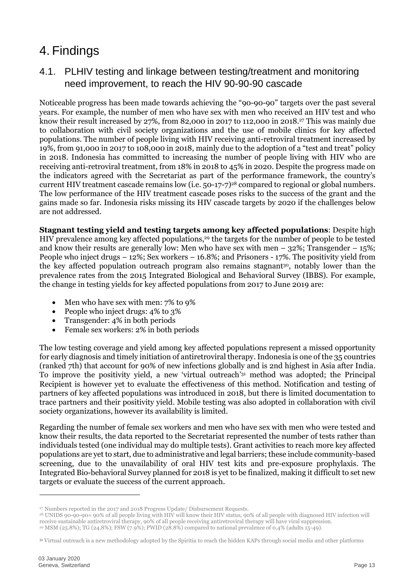### <span id="page-12-0"></span>4. Findings

#### <span id="page-12-1"></span>4.1. PLHIV testing and linkage between testing/treatment and monitoring need improvement, to reach the HIV 90-90-90 cascade

Noticeable progress has been made towards achieving the "90-90-90" targets over the past several years. For example, the number of men who have sex with men who received an HIV test and who know their result increased by 27%, from 82,000 in 2017 to 112,000 in 2018. <sup>27</sup> This was mainly due to collaboration with civil society organizations and the use of mobile clinics for key affected populations. The number of people living with HIV receiving anti-retroviral treatment increased by 19%, from 91,000 in 2017 to 108,000 in 2018, mainly due to the adoption of a "test and treat" policy in 2018. Indonesia has committed to increasing the number of people living with HIV who are receiving anti-retroviral treatment, from 18% in 2018 to 45% in 2020. Despite the progress made on the indicators agreed with the Secretariat as part of the performance framework, the country's current HIV treatment cascade remains low (i.e. 50-17-7)<sup>28</sup> compared to regional or global numbers. The low performance of the HIV treatment cascade poses risks to the success of the grant and the gains made so far. Indonesia risks missing its HIV cascade targets by 2020 if the challenges below are not addressed.

**Stagnant testing yield and testing targets among key affected populations**: Despite high HIV prevalence among key affected populations, <sup>29</sup> the targets for the number of people to be tested and know their results are generally low: Men who have sex with men  $-$  32%; Transgender  $-$  15%; People who inject drugs – 12%; Sex workers – 16.8%; and Prisoners - 17%. The positivity yield from the key affected population outreach program also remains stagnant<sup>30</sup>, notably lower than the prevalence rates from the 2015 Integrated Biological and Behavioral Survey (IBBS). For example, the change in testing yields for key affected populations from 2017 to June 2019 are:

- Men who have sex with men: 7% to 9%
- People who inject drugs: 4% to 3%
- Transgender: 4% in both periods
- Female sex workers: 2% in both periods

The low testing coverage and yield among key affected populations represent a missed opportunity for early diagnosis and timely initiation of antiretroviral therapy. Indonesia is one of the 35 countries (ranked 7th) that account for 90% of new infections globally and is 2nd highest in Asia after India. To improve the positivity yield, a new 'virtual outreach' <sup>31</sup> method was adopted; the Principal Recipient is however yet to evaluate the effectiveness of this method. Notification and testing of partners of key affected populations was introduced in 2018, but there is limited documentation to trace partners and their positivity yield. Mobile testing was also adopted in collaboration with civil society organizations, however its availability is limited.

Regarding the number of female sex workers and men who have sex with men who were tested and know their results, the data reported to the Secretariat represented the number of tests rather than individuals tested (one individual may do multiple tests). Grant activities to reach more key affected populations are yet to start, due to administrative and legal barriers; these include community-based screening, due to the unavailability of oral HIV test kits and pre-exposure prophylaxis. The Integrated Bio-behavioral Survey planned for 2018 is yet to be finalized, making it difficult to set new targets or evaluate the success of the current approach.

<sup>&</sup>lt;sup>27</sup> Numbers reported in the 2017 and 2018 Progress Update/ Disbursement Requests.

<sup>&</sup>lt;sup>28</sup> UNIDS 90-90-90= 90% of all people living with HIV will know their HIV status, 90% of all people with diagnosed HIV infection will receive sustainable antiretroviral therapy, 90% of all people receiving antiretroviral therapy will have viral suppression. <sup>29</sup> MSM (25.8%); TG (24.8%); FSW (7.9%); PWID (28.8%) compared to national prevalence of 0.4% (adults 15-49).

<sup>31</sup> Virtual outreach is a new methodology adopted by the Spiritia to reach the hidden KAPs through social media and other platforms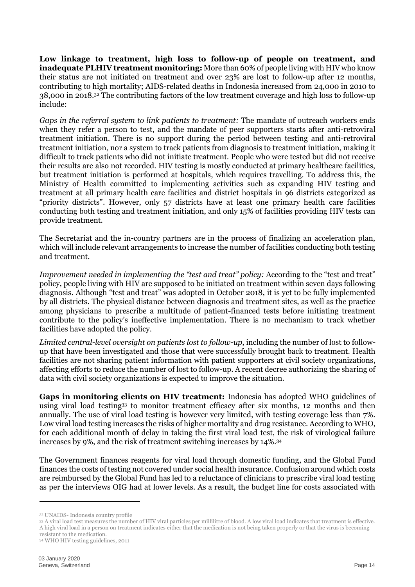**Low linkage to treatment, high loss to follow-up of people on treatment, and inadequate PLHIV treatment monitoring:** More than 60% of people living with HIV who know their status are not initiated on treatment and over 23% are lost to follow-up after 12 months, contributing to high mortality; AIDS-related deaths in Indonesia increased from 24,000 in 2010 to 38,000 in 2018. <sup>32</sup> The contributing factors of the low treatment coverage and high loss to follow-up include:

*Gaps in the referral system to link patients to treatment:* The mandate of outreach workers ends when they refer a person to test, and the mandate of peer supporters starts after anti-retroviral treatment initiation. There is no support during the period between testing and anti-retroviral treatment initiation, nor a system to track patients from diagnosis to treatment initiation, making it difficult to track patients who did not initiate treatment. People who were tested but did not receive their results are also not recorded. HIV testing is mostly conducted at primary healthcare facilities, but treatment initiation is performed at hospitals, which requires travelling. To address this, the Ministry of Health committed to implementing activities such as expanding HIV testing and treatment at all primary health care facilities and district hospitals in 96 districts categorized as "priority districts". However, only 57 districts have at least one primary health care facilities conducting both testing and treatment initiation, and only 15% of facilities providing HIV tests can provide treatment.

The Secretariat and the in-country partners are in the process of finalizing an acceleration plan, which will include relevant arrangements to increase the number of facilities conducting both testing and treatment.

*Improvement needed in implementing the "test and treat" policy:* According to the "test and treat" policy, people living with HIV are supposed to be initiated on treatment within seven days following diagnosis. Although "test and treat" was adopted in October 2018, it is yet to be fully implemented by all districts. The physical distance between diagnosis and treatment sites, as well as the practice among physicians to prescribe a multitude of patient-financed tests before initiating treatment contribute to the policy's ineffective implementation. There is no mechanism to track whether facilities have adopted the policy.

*Limited central-level oversight on patients lost to follow-up*, including the number of lost to followup that have been investigated and those that were successfully brought back to treatment. Health facilities are not sharing patient information with patient supporters at civil society organizations, affecting efforts to reduce the number of lost to follow-up. A recent decree authorizing the sharing of data with civil society organizations is expected to improve the situation.

**Gaps in monitoring clients on HIV treatment:** Indonesia has adopted WHO guidelines of using viral load testing<sup>33</sup> to monitor treatment efficacy after six months, 12 months and then annually. The use of viral load testing is however very limited, with testing coverage less than 7%. Low viral load testing increases the risks of higher mortality and drug resistance. According to WHO, for each additional month of delay in taking the first viral load test, the risk of virological failure increases by 9%, and the risk of treatment switching increases by 14%.<sup>34</sup>

The Government finances reagents for viral load through domestic funding, and the Global Fund finances the costs of testing not covered under social health insurance. Confusion around which costs are reimbursed by the Global Fund has led to a reluctance of clinicians to prescribe viral load testing as per the interviews OIG had at lower levels. As a result, the budget line for costs associated with

<sup>32</sup> UNAIDS- Indonesia country profile

<sup>33</sup> A viral load test measures the number of HIV viral particles per millilitre of blood. A low viral load indicates that treatment is effective. A high viral load in a person on treatment indicates either that the medication is not being taken properly or that the virus is becoming resistant to the medication.

<sup>34</sup> WHO HIV testing guidelines, 2011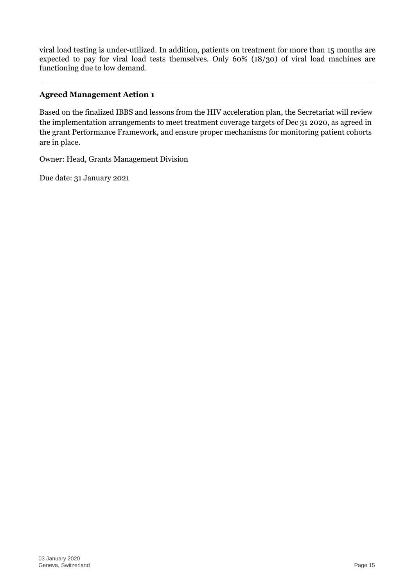viral load testing is under-utilized. In addition, patients on treatment for more than 15 months are expected to pay for viral load tests themselves. Only 60% (18/30) of viral load machines are functioning due to low demand.

#### **Agreed Management Action 1**

Based on the finalized IBBS and lessons from the HIV acceleration plan, the Secretariat will review the implementation arrangements to meet treatment coverage targets of Dec 31 2020, as agreed in the grant Performance Framework, and ensure proper mechanisms for monitoring patient cohorts are in place.

Owner: Head, Grants Management Division

Due date: 31 January 2021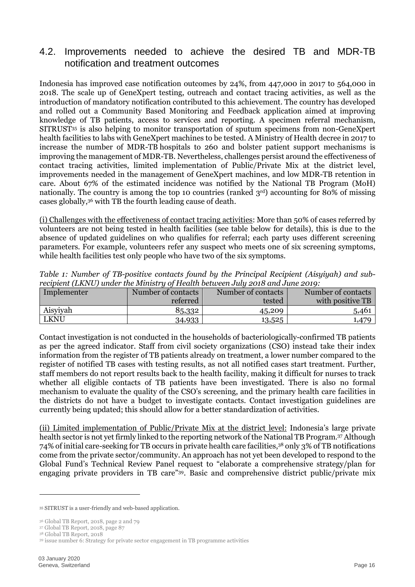#### <span id="page-15-0"></span>4.2. Improvements needed to achieve the desired TB and MDR-TB notification and treatment outcomes

Indonesia has improved case notification outcomes by 24%, from 447,000 in 2017 to 564,000 in 2018. The scale up of GeneXpert testing, outreach and contact tracing activities, as well as the introduction of mandatory notification contributed to this achievement. The country has developed and rolled out a Community Based Monitoring and Feedback application aimed at improving knowledge of TB patients, access to services and reporting. A specimen referral mechanism, SITRUST<sup>35</sup> is also helping to monitor transportation of sputum specimens from non-GeneXpert health facilities to labs with GeneXpert machines to be tested. A Ministry of Health decree in 2017 to increase the number of MDR-TB hospitals to 260 and bolster patient support mechanisms is improving the management of MDR-TB. Nevertheless, challenges persist around the effectiveness of contact tracing activities, limited implementation of Public/Private Mix at the district level, improvements needed in the management of GeneXpert machines, and low MDR-TB retention in care. About 67% of the estimated incidence was notified by the National TB Program (MoH) nationally. The country is among the top 10 countries (ranked  $3<sup>rd</sup>$ ) accounting for 80% of missing cases globally, <sup>36</sup> with TB the fourth leading cause of death.

(i) Challenges with the effectiveness of contact tracing activities: More than 50% of cases referred by volunteers are not being tested in health facilities (see table below for details), this is due to the absence of updated guidelines on who qualifies for referral; each party uses different screening parameters. For example, volunteers refer any suspect who meets one of six screening symptoms, while health facilities test only people who have two of the six symptoms.

| Implementer | Number of contacts | Number of contacts | Number of contacts |  |  |  |  |
|-------------|--------------------|--------------------|--------------------|--|--|--|--|
|             | referred           | tested             | with positive TB   |  |  |  |  |
| Aisyiyah    | 85,332             | 45,209             | 5,461              |  |  |  |  |
| <b>LKNU</b> | 34,933             | 13,525             | .,479              |  |  |  |  |

*Table 1: Number of TB-positive contacts found by the Principal Recipient (Aisyiyah) and subrecipient (LKNU) under the Ministry of Health between July 2018 and June 2019:*

Contact investigation is not conducted in the households of bacteriologically-confirmed TB patients as per the agreed indicator. Staff from civil society organizations (CSO) instead take their index information from the register of TB patients already on treatment, a lower number compared to the register of notified TB cases with testing results, as not all notified cases start treatment. Further, staff members do not report results back to the health facility, making it difficult for nurses to track whether all eligible contacts of TB patients have been investigated. There is also no formal mechanism to evaluate the quality of the CSO's screening, and the primary health care facilities in the districts do not have a budget to investigate contacts. Contact investigation guidelines are currently being updated; this should allow for a better standardization of activities.

(ii) Limited implementation of Public/Private Mix at the district level: Indonesia's large private health sector is not yet firmly linked to the reporting network of the National TB Program.<sup>37</sup> Although 74% of initial care-seeking for TB occurs in private health care facilities, <sup>38</sup> only 3% of TB notifications come from the private sector/community. An approach has not yet been developed to respond to the Global Fund's Technical Review Panel request to "elaborate a comprehensive strategy/plan for engaging private providers in TB care"<sup>39</sup> . Basic and comprehensive district public/private mix

-

<sup>35</sup> SITRUST is a user-friendly and web-based application.

<sup>36</sup> Global TB Report, 2018, page 2 and 79

<sup>37</sup> Global TB Report, 2018, page 87

<sup>38</sup> Global TB Report, 2018 <sup>39</sup> issue number 6: Strategy for private sector engagement in TB programme activities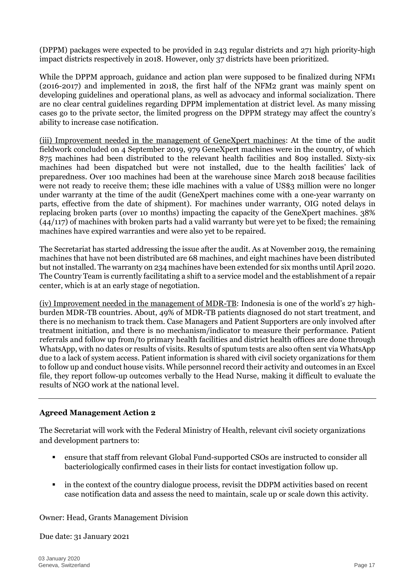(DPPM) packages were expected to be provided in 243 regular districts and 271 high priority-high impact districts respectively in 2018. However, only 37 districts have been prioritized.

While the DPPM approach, guidance and action plan were supposed to be finalized during NFM1 (2016-2017) and implemented in 2018, the first half of the NFM2 grant was mainly spent on developing guidelines and operational plans, as well as advocacy and informal socialization. There are no clear central guidelines regarding DPPM implementation at district level. As many missing cases go to the private sector, the limited progress on the DPPM strategy may affect the country's ability to increase case notification.

(iii) Improvement needed in the management of GeneXpert machines: At the time of the audit fieldwork concluded on 4 September 2019, 979 GeneXpert machines were in the country, of which 875 machines had been distributed to the relevant health facilities and 809 installed. Sixty-six machines had been dispatched but were not installed, due to the health facilities' lack of preparedness. Over 100 machines had been at the warehouse since March 2018 because facilities were not ready to receive them; these idle machines with a value of US\$3 million were no longer under warranty at the time of the audit (GeneXpert machines come with a one-year warranty on parts, effective from the date of shipment). For machines under warranty, OIG noted delays in replacing broken parts (over 10 months) impacting the capacity of the GeneXpert machines. 38%  $(44/117)$  of machines with broken parts had a valid warranty but were yet to be fixed; the remaining machines have expired warranties and were also yet to be repaired.

The Secretariat has started addressing the issue after the audit. As at November 2019, the remaining machines that have not been distributed are 68 machines, and eight machines have been distributed but not installed. The warranty on 234 machines have been extended for six months until April 2020. The Country Team is currently facilitating a shift to a service model and the establishment of a repair center, which is at an early stage of negotiation.

(iv) Improvement needed in the management of MDR-TB: Indonesia is one of the world's 27 highburden MDR-TB countries. About, 49% of MDR-TB patients diagnosed do not start treatment, and there is no mechanism to track them. Case Managers and Patient Supporters are only involved after treatment initiation, and there is no mechanism/indicator to measure their performance. Patient referrals and follow up from/to primary health facilities and district health offices are done through WhatsApp, with no dates or results of visits. Results of sputum tests are also often sent via WhatsApp due to a lack of system access. Patient information is shared with civil society organizations for them to follow up and conduct house visits. While personnel record their activity and outcomes in an Excel file, they report follow-up outcomes verbally to the Head Nurse, making it difficult to evaluate the results of NGO work at the national level.

#### **Agreed Management Action 2**

The Secretariat will work with the Federal Ministry of Health, relevant civil society organizations and development partners to:

- ensure that staff from relevant Global Fund-supported CSOs are instructed to consider all bacteriologically confirmed cases in their lists for contact investigation follow up.
- in the context of the country dialogue process, revisit the DDPM activities based on recent case notification data and assess the need to maintain, scale up or scale down this activity.

Owner: Head, Grants Management Division

Due date: 31 January 2021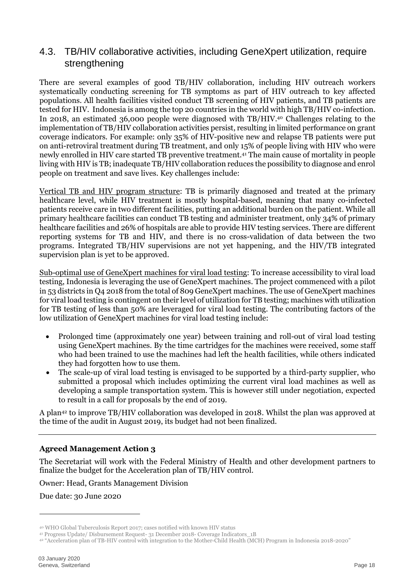#### <span id="page-17-0"></span>4.3. TB/HIV collaborative activities, including GeneXpert utilization, require strengthening

There are several examples of good TB/HIV collaboration, including HIV outreach workers systematically conducting screening for TB symptoms as part of HIV outreach to key affected populations. All health facilities visited conduct TB screening of HIV patients, and TB patients are tested for HIV. Indonesia is among the top 20 countries in the world with high TB/HIV co-infection. In 2018, an estimated 36,000 people were diagnosed with TB/HIV. <sup>40</sup> Challenges relating to the implementation of TB/HIV collaboration activities persist, resulting in limited performance on grant coverage indicators. For example: only 35% of HIV-positive new and relapse TB patients were put on anti-retroviral treatment during TB treatment, and only 15% of people living with HIV who were newly enrolled in HIV care started TB preventive treatment.<sup>41</sup> The main cause of mortality in people living with HIV is TB; inadequate TB/HIV collaboration reduces the possibility to diagnose and enrol people on treatment and save lives. Key challenges include:

Vertical TB and HIV program structure: TB is primarily diagnosed and treated at the primary healthcare level, while HIV treatment is mostly hospital-based, meaning that many co-infected patients receive care in two different facilities, putting an additional burden on the patient. While all primary healthcare facilities can conduct TB testing and administer treatment, only 34% of primary healthcare facilities and 26% of hospitals are able to provide HIV testing services. There are different reporting systems for TB and HIV, and there is no cross-validation of data between the two programs. Integrated TB/HIV supervisions are not yet happening, and the HIV/TB integrated supervision plan is yet to be approved.

Sub-optimal use of GeneXpert machines for viral load testing: To increase accessibility to viral load testing, Indonesia is leveraging the use of GeneXpert machines. The project commenced with a pilot in 53 districts in Q4 2018 from the total of 809 GeneXpert machines. The use of GeneXpert machines for viral load testing is contingent on their level of utilization for TB testing; machines with utilization for TB testing of less than 50% are leveraged for viral load testing. The contributing factors of the low utilization of GeneXpert machines for viral load testing include:

- Prolonged time (approximately one year) between training and roll-out of viral load testing using GeneXpert machines. By the time cartridges for the machines were received, some staff who had been trained to use the machines had left the health facilities, while others indicated they had forgotten how to use them.
- The scale-up of viral load testing is envisaged to be supported by a third-party supplier, who submitted a proposal which includes optimizing the current viral load machines as well as developing a sample transportation system. This is however still under negotiation, expected to result in a call for proposals by the end of 2019.

A plan<sup>42</sup> to improve TB/HIV collaboration was developed in 2018. Whilst the plan was approved at the time of the audit in August 2019, its budget had not been finalized.

#### **Agreed Management Action 3**

The Secretariat will work with the Federal Ministry of Health and other development partners to finalize the budget for the Acceleration plan of TB/HIV control.

Owner: Head, Grants Management Division

Due date: 30 June 2020

<sup>40</sup> WHO Global Tuberculosis Report 2017; cases notified with known HIV status

<sup>41</sup> Progress Update/ Disbursement Request- 31 December 2018- Coverage Indicators\_1B

<sup>42</sup> "Acceleration plan of TB-HIV control with integration to the Mother-Child Health (MCH) Program in Indonesia 2018-2020"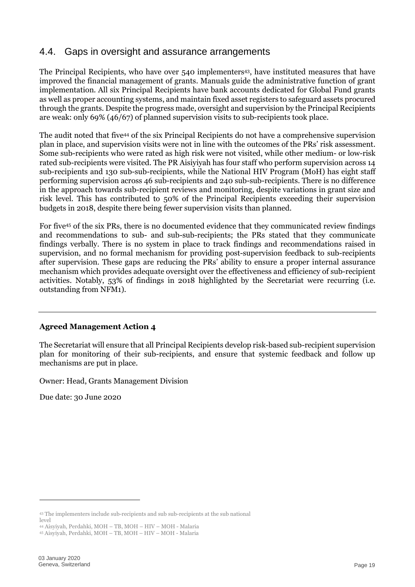#### <span id="page-18-0"></span>4.4. Gaps in oversight and assurance arrangements

The Principal Recipients, who have over 540 implementers<sup>43</sup>, have instituted measures that have improved the financial management of grants. Manuals guide the administrative function of grant implementation. All six Principal Recipients have bank accounts dedicated for Global Fund grants as well as proper accounting systems, and maintain fixed asset registers to safeguard assets procured through the grants. Despite the progress made, oversight and supervision by the Principal Recipients are weak: only 69% (46/67) of planned supervision visits to sub-recipients took place.

The audit noted that five<sup>44</sup> of the six Principal Recipients do not have a comprehensive supervision plan in place, and supervision visits were not in line with the outcomes of the PRs' risk assessment. Some sub-recipients who were rated as high risk were not visited, while other medium- or low-risk rated sub-recipients were visited. The PR Aisiyiyah has four staff who perform supervision across 14 sub-recipients and 130 sub-sub-recipients, while the National HIV Program (MoH) has eight staff performing supervision across 46 sub-recipients and 240 sub-sub-recipients. There is no difference in the approach towards sub-recipient reviews and monitoring, despite variations in grant size and risk level. This has contributed to 50% of the Principal Recipients exceeding their supervision budgets in 2018, despite there being fewer supervision visits than planned.

For five<sup>45</sup> of the six PRs, there is no documented evidence that they communicated review findings and recommendations to sub- and sub-sub-recipients; the PRs stated that they communicate findings verbally. There is no system in place to track findings and recommendations raised in supervision, and no formal mechanism for providing post-supervision feedback to sub-recipients after supervision. These gaps are reducing the PRs' ability to ensure a proper internal assurance mechanism which provides adequate oversight over the effectiveness and efficiency of sub-recipient activities. Notably, 53% of findings in 2018 highlighted by the Secretariat were recurring (i.e. outstanding from NFM1).

#### **Agreed Management Action 4**

The Secretariat will ensure that all Principal Recipients develop risk-based sub-recipient supervision plan for monitoring of their sub-recipients, and ensure that systemic feedback and follow up mechanisms are put in place.

Owner: Head, Grants Management Division

Due date: 30 June 2020

<sup>43</sup> The implementers include sub-recipients and sub sub-recipients at the sub national

level

<sup>44</sup> Aisyiyah, Perdahki, MOH – TB, MOH – HIV – MOH - Malaria <sup>45</sup> Aisyiyah, Perdahki, MOH – TB, MOH – HIV – MOH - Malaria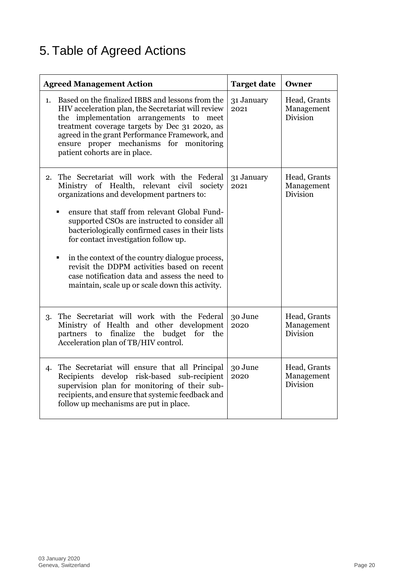### <span id="page-19-0"></span>5. Table of Agreed Actions

| <b>Agreed Management Action</b>                                                                                                                                                                                                                                                                                                                                                                                                                                                                                                                 | <b>Target date</b> | Owner                                  |
|-------------------------------------------------------------------------------------------------------------------------------------------------------------------------------------------------------------------------------------------------------------------------------------------------------------------------------------------------------------------------------------------------------------------------------------------------------------------------------------------------------------------------------------------------|--------------------|----------------------------------------|
| Based on the finalized IBBS and lessons from the<br>1.<br>HIV acceleration plan, the Secretariat will review<br>the implementation arrangements to meet<br>treatment coverage targets by Dec 31 2020, as<br>agreed in the grant Performance Framework, and<br>ensure proper mechanisms for monitoring<br>patient cohorts are in place.                                                                                                                                                                                                          | 31 January<br>2021 | Head, Grants<br>Management<br>Division |
| The Secretariat will work with the Federal<br>2.<br>Ministry of Health, relevant civil society<br>organizations and development partners to:<br>ensure that staff from relevant Global Fund-<br>supported CSOs are instructed to consider all<br>bacteriologically confirmed cases in their lists<br>for contact investigation follow up.<br>in the context of the country dialogue process,<br>revisit the DDPM activities based on recent<br>case notification data and assess the need to<br>maintain, scale up or scale down this activity. | 31 January<br>2021 | Head, Grants<br>Management<br>Division |
| The Secretariat will work with the Federal<br>3.<br>Ministry of Health and other development<br>to<br>finalize the budget<br>for<br>the<br>partners<br>Acceleration plan of TB/HIV control.                                                                                                                                                                                                                                                                                                                                                     | 30 June<br>2020    | Head, Grants<br>Management<br>Division |
| The Secretariat will ensure that all Principal<br>4.<br>develop risk-based sub-recipient<br>Recipients<br>supervision plan for monitoring of their sub-<br>recipients, and ensure that systemic feedback and<br>follow up mechanisms are put in place.                                                                                                                                                                                                                                                                                          | 30 June<br>2020    | Head, Grants<br>Management<br>Division |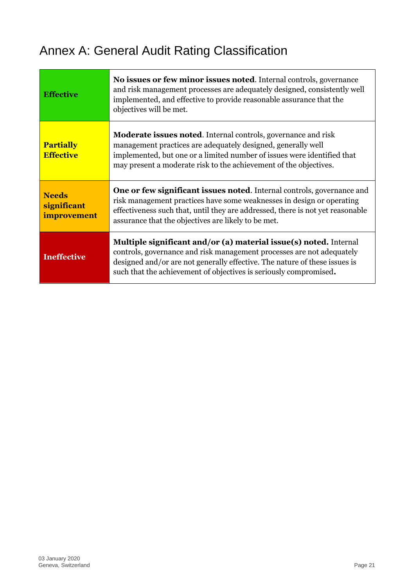### <span id="page-20-0"></span>Annex A: General Audit Rating Classification

| <b>Effective</b>                           | No issues or few minor issues noted. Internal controls, governance<br>and risk management processes are adequately designed, consistently well<br>implemented, and effective to provide reasonable assurance that the<br>objectives will be met.                                                |
|--------------------------------------------|-------------------------------------------------------------------------------------------------------------------------------------------------------------------------------------------------------------------------------------------------------------------------------------------------|
| <b>Partially</b><br><b>Effective</b>       | <b>Moderate issues noted.</b> Internal controls, governance and risk<br>management practices are adequately designed, generally well<br>implemented, but one or a limited number of issues were identified that<br>may present a moderate risk to the achievement of the objectives.            |
| <b>Needs</b><br>significant<br>improvement | <b>One or few significant issues noted.</b> Internal controls, governance and<br>risk management practices have some weaknesses in design or operating<br>effectiveness such that, until they are addressed, there is not yet reasonable<br>assurance that the objectives are likely to be met. |
| <b>Ineffective</b>                         | Multiple significant and/or (a) material issue(s) noted. Internal<br>controls, governance and risk management processes are not adequately<br>designed and/or are not generally effective. The nature of these issues is<br>such that the achievement of objectives is seriously compromised.   |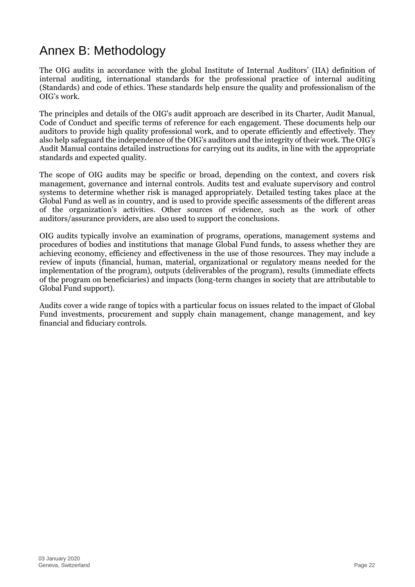### <span id="page-21-0"></span>Annex B: Methodology

The OIG audits in accordance with the global Institute of Internal Auditors' (IIA) definition of internal auditing, international standards for the professional practice of internal auditing (Standards) and code of ethics. These standards help ensure the quality and professionalism of the OIG's work.

The principles and details of the OIG's audit approach are described in its Charter, Audit Manual, Code of Conduct and specific terms of reference for each engagement. These documents help our auditors to provide high quality professional work, and to operate efficiently and effectively. They also help safeguard the independence of the OIG's auditors and the integrity of their work. The OIG's Audit Manual contains detailed instructions for carrying out its audits, in line with the appropriate standards and expected quality.

The scope of OIG audits may be specific or broad, depending on the context, and covers risk management, governance and internal controls. Audits test and evaluate supervisory and control systems to determine whether risk is managed appropriately. Detailed testing takes place at the Global Fund as well as in country, and is used to provide specific assessments of the different areas of the organization's activities. Other sources of evidence, such as the work of other auditors/assurance providers, are also used to support the conclusions.

OIG audits typically involve an examination of programs, operations, management systems and procedures of bodies and institutions that manage Global Fund funds, to assess whether they are achieving economy, efficiency and effectiveness in the use of those resources. They may include a review of inputs (financial, human, material, organizational or regulatory means needed for the implementation of the program), outputs (deliverables of the program), results (immediate effects of the program on beneficiaries) and impacts (long-term changes in society that are attributable to Global Fund support).

Audits cover a wide range of topics with a particular focus on issues related to the impact of Global Fund investments, procurement and supply chain management, change management, and key financial and fiduciary controls.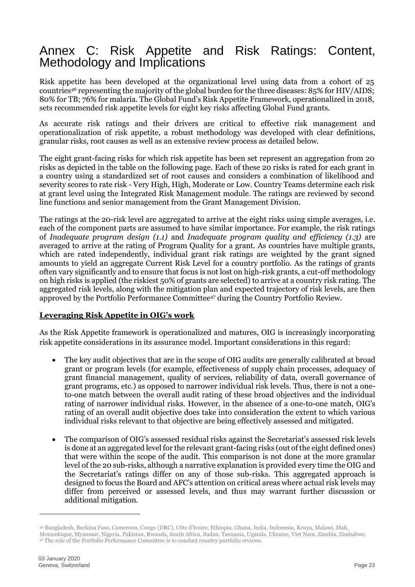#### Annex C: Risk Appetite and Risk Ratings: Content, Methodology and Implications

Risk appetite has been developed at the organizational level using data from a cohort of 25 countries<sup>46</sup> representing the majority of the global burden for the three diseases: 85% for HIV/AIDS; 80% for TB; 76% for malaria. The Global Fund's Risk Appetite Framework, operationalized in 2018, sets recommended risk appetite levels for eight key risks affecting Global Fund grants.

As accurate risk ratings and their drivers are critical to effective risk management and operationalization of risk appetite, a robust methodology was developed with clear definitions, granular risks, root causes as well as an extensive review process as detailed below.

The eight grant-facing risks for which risk appetite has been set represent an aggregation from 20 risks as depicted in the table on the following page. Each of these 20 risks is rated for each grant in a country using a standardized set of root causes and considers a combination of likelihood and severity scores to rate risk - Very High, High, Moderate or Low. Country Teams determine each risk at grant level using the Integrated Risk Management module. The ratings are reviewed by second line functions and senior management from the Grant Management Division.

The ratings at the 20-risk level are aggregated to arrive at the eight risks using simple averages, i.e. each of the component parts are assumed to have similar importance. For example, the risk ratings of *Inadequate program design (1.1)* and *Inadequate program quality and efficiency (1.3)* are averaged to arrive at the rating of Program Quality for a grant. As countries have multiple grants, which are rated independently, individual grant risk ratings are weighted by the grant signed amounts to yield an aggregate Current Risk Level for a country portfolio. As the ratings of grants often vary significantly and to ensure that focus is not lost on high-risk grants, a cut-off methodology on high risks is applied (the riskiest 50% of grants are selected) to arrive at a country risk rating. The aggregated risk levels, along with the mitigation plan and expected trajectory of risk levels, are then approved by the Portfolio Performance Committee<sup>47</sup> during the Country Portfolio Review.

#### **Leveraging Risk Appetite in OIG's work**

As the Risk Appetite framework is operationalized and matures, OIG is increasingly incorporating risk appetite considerations in its assurance model. Important considerations in this regard:

- The key audit objectives that are in the scope of OIG audits are generally calibrated at broad grant or program levels (for example, effectiveness of supply chain processes, adequacy of grant financial management, quality of services, reliability of data, overall governance of grant programs, etc.) as opposed to narrower individual risk levels. Thus, there is not a oneto-one match between the overall audit rating of these broad objectives and the individual rating of narrower individual risks. However, in the absence of a one-to-one match, OIG's rating of an overall audit objective does take into consideration the extent to which various individual risks relevant to that objective are being effectively assessed and mitigated.
- The comparison of OIG's assessed residual risks against the Secretariat's assessed risk levels is done at an aggregated level for the relevant grant-facing risks (out of the eight defined ones) that were within the scope of the audit. This comparison is not done at the more granular level of the 20 sub-risks, although a narrative explanation is provided every time the OIG and the Secretariat's ratings differ on any of those sub-risks. This aggregated approach is designed to focus the Board and AFC's attention on critical areas where actual risk levels may differ from perceived or assessed levels, and thus may warrant further discussion or additional mitigation.

<sup>46</sup> Bangladesh, Burkina Faso, Cameroon, Congo (DRC), Côte d'Ivoire, Ethiopia, Ghana, India, Indonesia, Kenya, Malawi, Mali,

Mozambique, Myanmar, Nigeria, Pakistan, Rwanda, South Africa, Sudan, Tanzania, Uganda, Ukraine, Viet Nam, Zambia, Zimbabwe. <sup>47</sup> The role of the Portfolio Performance Committee is to conduct country portfolio reviews.